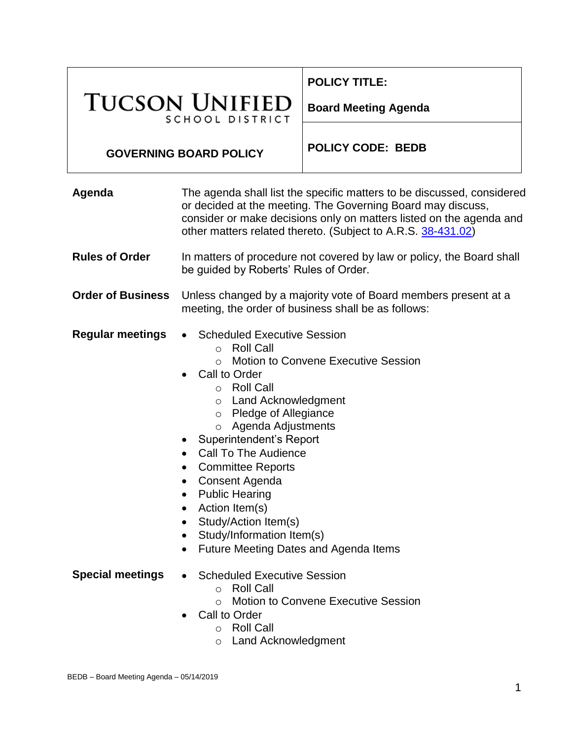|                                                 |                                                                                                                                                                                                                                                                                                                                                                                                                                                                                                                                                              | <b>POLICY TITLE:</b>        |
|-------------------------------------------------|--------------------------------------------------------------------------------------------------------------------------------------------------------------------------------------------------------------------------------------------------------------------------------------------------------------------------------------------------------------------------------------------------------------------------------------------------------------------------------------------------------------------------------------------------------------|-----------------------------|
| <b>TUCSON UNIFIED</b><br><b>SCHOOL DISTRICT</b> |                                                                                                                                                                                                                                                                                                                                                                                                                                                                                                                                                              | <b>Board Meeting Agenda</b> |
| <b>GOVERNING BOARD POLICY</b>                   |                                                                                                                                                                                                                                                                                                                                                                                                                                                                                                                                                              | <b>POLICY CODE: BEDB</b>    |
| Agenda                                          | The agenda shall list the specific matters to be discussed, considered<br>or decided at the meeting. The Governing Board may discuss,<br>consider or make decisions only on matters listed on the agenda and<br>other matters related thereto. (Subject to A.R.S. 38-431.02)                                                                                                                                                                                                                                                                                 |                             |
| <b>Rules of Order</b>                           | In matters of procedure not covered by law or policy, the Board shall<br>be guided by Roberts' Rules of Order.                                                                                                                                                                                                                                                                                                                                                                                                                                               |                             |
| <b>Order of Business</b>                        | Unless changed by a majority vote of Board members present at a<br>meeting, the order of business shall be as follows:                                                                                                                                                                                                                                                                                                                                                                                                                                       |                             |
| <b>Regular meetings</b>                         | <b>Scheduled Executive Session</b><br><b>Roll Call</b><br>$\circ$<br><b>Motion to Convene Executive Session</b><br>$\Omega$<br>Call to Order<br><b>Roll Call</b><br>$\circ$<br>o Land Acknowledgment<br>o Pledge of Allegiance<br>Agenda Adjustments<br>$\circ$<br><b>Superintendent's Report</b><br><b>Call To The Audience</b><br>$\bullet$<br><b>Committee Reports</b><br>$\bullet$<br>Consent Agenda<br>$\bullet$<br><b>Public Hearing</b><br>$\bullet$<br>Action Item(s)<br>$\bullet$<br>Study/Action Item(s)<br>$\bullet$<br>Study/Information Item(s) |                             |

- Future Meeting Dates and Agenda Items
- **Special meetings Scheduled Executive Session** 
	- o Roll Call
	- o Motion to Convene Executive Session
	- Call to Order
		- o Roll Call
			- o Land Acknowledgment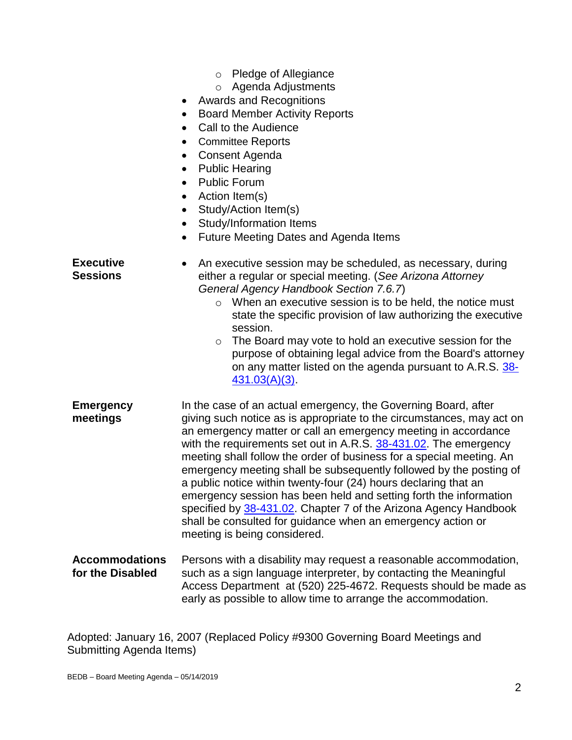- o Pledge of Allegiance
- o Agenda Adjustments
- Awards and Recognitions
- Board Member Activity Reports
- Call to the Audience
- Committee Reports
- Consent Agenda
- Public Hearing
- Public Forum
- Action Item(s)
- Study/Action Item(s)
- Study/Information Items
- Future Meeting Dates and Agenda Items

**Executive Sessions** An executive session may be scheduled, as necessary, during either a regular or special meeting. (*See Arizona Attorney General Agency Handbook Section 7.6.7*) o When an executive session is to be held, the notice must state the specific provision of law authorizing the executive session. o The Board may vote to hold an executive session for the purpose of obtaining legal advice from the Board's attorney on any matter listed on the agenda pursuant to A.R.S. [38-](https://www.azleg.gov/viewdocument/?docName=https://www.azleg.gov/ars/38/00431-03.htm) [431.03\(A\)\(3\).](https://www.azleg.gov/viewdocument/?docName=https://www.azleg.gov/ars/38/00431-03.htm) **Emergency meetings** In the case of an actual emergency, the Governing Board, after giving such notice as is appropriate to the circumstances, may act on an emergency matter or call an emergency meeting in accordance with the requirements set out in A.R.S. [38-431.02.](https://www.azleg.gov/viewdocument/?docName=https://www.azleg.gov/ars/38/00431-02.htm) The emergency meeting shall follow the order of business for a special meeting. An emergency meeting shall be subsequently followed by the posting of a public notice within twenty-four (24) hours declaring that an emergency session has been held and setting forth the information specified by [38-431.02.](https://www.azleg.gov/viewdocument/?docName=https://www.azleg.gov/ars/38/00431-02.htm) Chapter 7 of the Arizona Agency Handbook shall be consulted for guidance when an emergency action or meeting is being considered. **Accommodations for the Disabled** Persons with a disability may request a reasonable accommodation, such as a sign language interpreter, by contacting the Meaningful Access Department at (520) 225-4672. Requests should be made as early as possible to allow time to arrange the accommodation.

Adopted: January 16, 2007 (Replaced Policy #9300 Governing Board Meetings and Submitting Agenda Items)